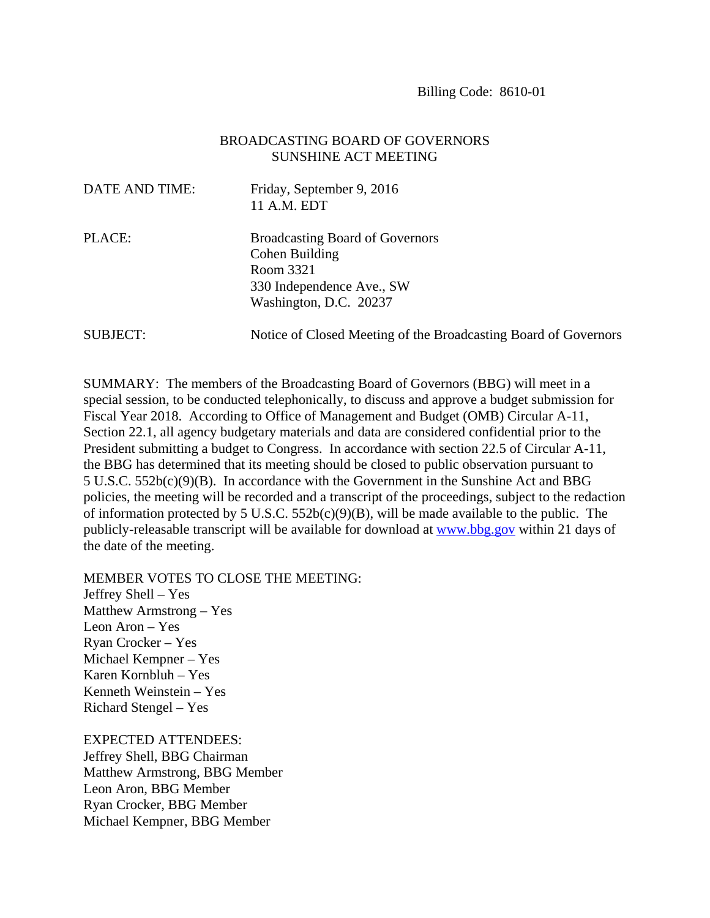## BROADCASTING BOARD OF GOVERNORS SUNSHINE ACT MEETING

| DATE AND TIME:  | Friday, September 9, 2016<br>11 A.M. EDT                                                                                     |
|-----------------|------------------------------------------------------------------------------------------------------------------------------|
| PLACE:          | <b>Broadcasting Board of Governors</b><br>Cohen Building<br>Room 3321<br>330 Independence Ave., SW<br>Washington, D.C. 20237 |
| <b>SUBJECT:</b> | Notice of Closed Meeting of the Broadcasting Board of Governors                                                              |

SUMMARY: The members of the Broadcasting Board of Governors (BBG) will meet in a special session, to be conducted telephonically, to discuss and approve a budget submission for Fiscal Year 2018. According to Office of Management and Budget (OMB) Circular A-11, Section 22.1, all agency budgetary materials and data are considered confidential prior to the President submitting a budget to Congress. In accordance with section 22.5 of Circular A-11, the BBG has determined that its meeting should be closed to public observation pursuant to 5 U.S.C. 552b(c)(9)(B). In accordance with the Government in the Sunshine Act and BBG policies, the meeting will be recorded and a transcript of the proceedings, subject to the redaction of information protected by 5 U.S.C.  $552b(c)(9)(B)$ , will be made available to the public. The publicly-releasable transcript will be available for download at www.bbg.gov within 21 days of the date of the meeting.

MEMBER VOTES TO CLOSE THE MEETING:

Jeffrey Shell – Yes Matthew Armstrong – Yes Leon Aron – Yes Ryan Crocker – Yes Michael Kempner – Yes Karen Kornbluh – Yes Kenneth Weinstein – Yes Richard Stengel – Yes

EXPECTED ATTENDEES: Jeffrey Shell, BBG Chairman Matthew Armstrong, BBG Member Leon Aron, BBG Member Ryan Crocker, BBG Member Michael Kempner, BBG Member